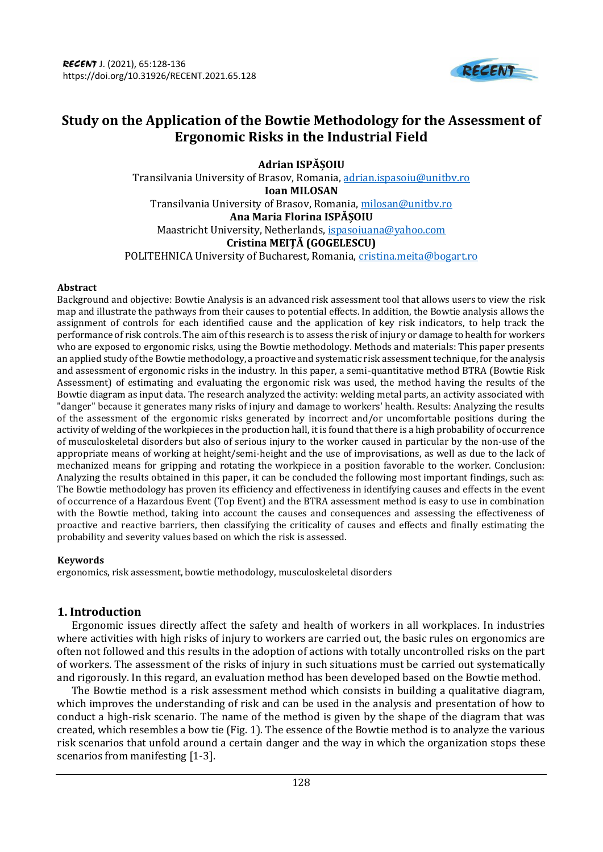

# **Study on the Application of the Bowtie Methodology for the Assessment of Ergonomic Risks in the Industrial Field**

**Adrian ISPĂȘOIU** Transilvania University of Brasov, Romania, adrian.ispasoiu@unitbv.ro **Ioan MILOSAN** Transilvania University of Brasov, Romania[, milosan@unitbv.ro](mailto:milosan@unitbv.ro) **Ana Maria Florina ISPĂȘOIU** Maastricht University, Netherlands, [ispasoiuana@yahoo.com](mailto:ispasoiuana@yahoo.com) **Cristina MEIȚĂ (GOGELESCU)** POLITEHNICA University of Bucharest, Romania, [cristina.meita@bogart.ro](mailto:cristina.meita@bogart.ro)

#### **Abstract**

Background and objective: Bowtie Analysis is an advanced risk assessment tool that allows users to view the risk map and illustrate the pathways from their causes to potential effects. In addition, the Bowtie analysis allows the assignment of controls for each identified cause and the application of key risk indicators, to help track the performance of risk controls. The aim of this research is to assess the risk of injury or damage to health for workers who are exposed to ergonomic risks, using the Bowtie methodology. Methods and materials: This paper presents an applied study of the Bowtie methodology, a proactive and systematic risk assessment technique, for the analysis and assessment of ergonomic risks in the industry. In this paper, a semi-quantitative method BTRA (Bowtie Risk Assessment) of estimating and evaluating the ergonomic risk was used, the method having the results of the Bowtie diagram as input data. The research analyzed the activity: welding metal parts, an activity associated with "danger" because it generates many risks of injury and damage to workers' health. Results: Analyzing the results of the assessment of the ergonomic risks generated by incorrect and/or uncomfortable positions during the activity of welding of the workpieces in the production hall, it is found that there is a high probability of occurrence of musculoskeletal disorders but also of serious injury to the worker caused in particular by the non-use of the appropriate means of working at height/semi-height and the use of improvisations, as well as due to the lack of mechanized means for gripping and rotating the workpiece in a position favorable to the worker. Conclusion: Analyzing the results obtained in this paper, it can be concluded the following most important findings, such as: The Bowtie methodology has proven its efficiency and effectiveness in identifying causes and effects in the event of occurrence of a Hazardous Event (Top Event) and the BTRA assessment method is easy to use in combination with the Bowtie method, taking into account the causes and consequences and assessing the effectiveness of proactive and reactive barriers, then classifying the criticality of causes and effects and finally estimating the probability and severity values based on which the risk is assessed.

## **Keywords**

ergonomics, risk assessment, bowtie methodology, musculoskeletal disorders

## **1. Introduction**

Ergonomic issues directly affect the safety and health of workers in all workplaces. In industries where activities with high risks of injury to workers are carried out, the basic rules on ergonomics are often not followed and this results in the adoption of actions with totally uncontrolled risks on the part of workers. The assessment of the risks of injury in such situations must be carried out systematically and rigorously. In this regard, an evaluation method has been developed based on the Bowtie method.

The Bowtie method is a risk assessment method which consists in building a qualitative diagram, which improves the understanding of risk and can be used in the analysis and presentation of how to conduct a high-risk scenario. The name of the method is given by the shape of the diagram that was created, which resembles a bow tie (Fig. 1). The essence of the Bowtie method is to analyze the various risk scenarios that unfold around a certain danger and the way in which the organization stops these scenarios from manifesting [1-3].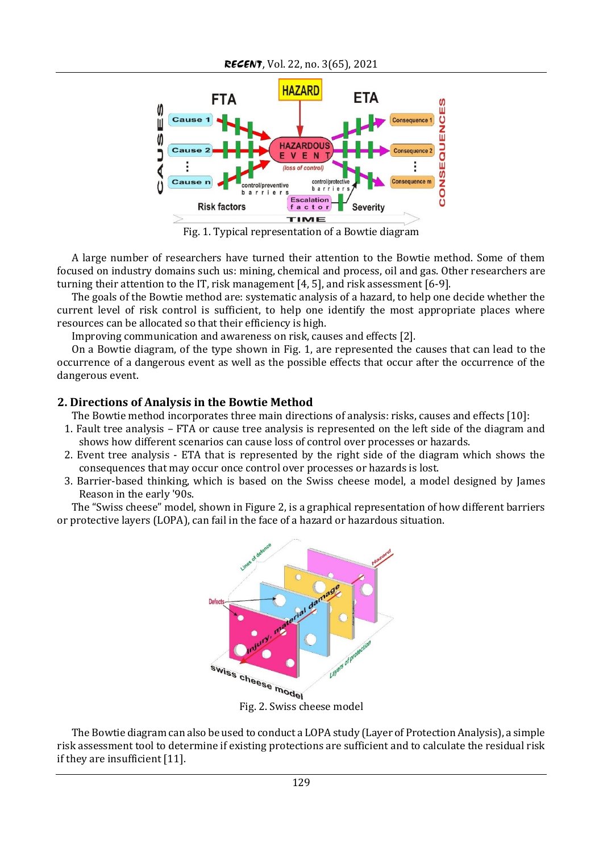

Fig. 1. Typical representation of a Bowtie diagram

A large number of researchers have turned their attention to the Bowtie method. Some of them focused on industry domains such us: mining, chemical and process, oil and gas. Other researchers are turning their attention to the IT, risk management [4, 5], and risk assessment [6-9].

The goals of the Bowtie method are: systematic analysis of a hazard, to help one decide whether the current level of risk control is sufficient, to help one identify the most appropriate places where resources can be allocated so that their efficiency is high.

Improving communication and awareness on risk, causes and effects [2].

On a Bowtie diagram, of the type shown in Fig. 1, are represented the causes that can lead to the occurrence of a dangerous event as well as the possible effects that occur after the occurrence of the dangerous event.

## **2. Directions of Analysis in the Bowtie Method**

The Bowtie method incorporates three main directions of analysis: risks, causes and effects [10]:

- 1. Fault tree analysis FTA or cause tree analysis is represented on the left side of the diagram and shows how different scenarios can cause loss of control over processes or hazards.
- 2. Event tree analysis ETA that is represented by the right side of the diagram which shows the consequences that may occur once control over processes or hazards is lost.
- 3. Barrier-based thinking, which is based on the Swiss cheese model, a model designed by James Reason in the early '90s.

The "Swiss cheese" model, shown in Figure 2, is a graphical representation of how different barriers or protective layers (LOPA), can fail in the face of a hazard or hazardous situation.



The Bowtie diagram can also be used to conduct a LOPA study (Layer of Protection Analysis), a simple risk assessment tool to determine if existing protections are sufficient and to calculate the residual risk if they are insufficient [11].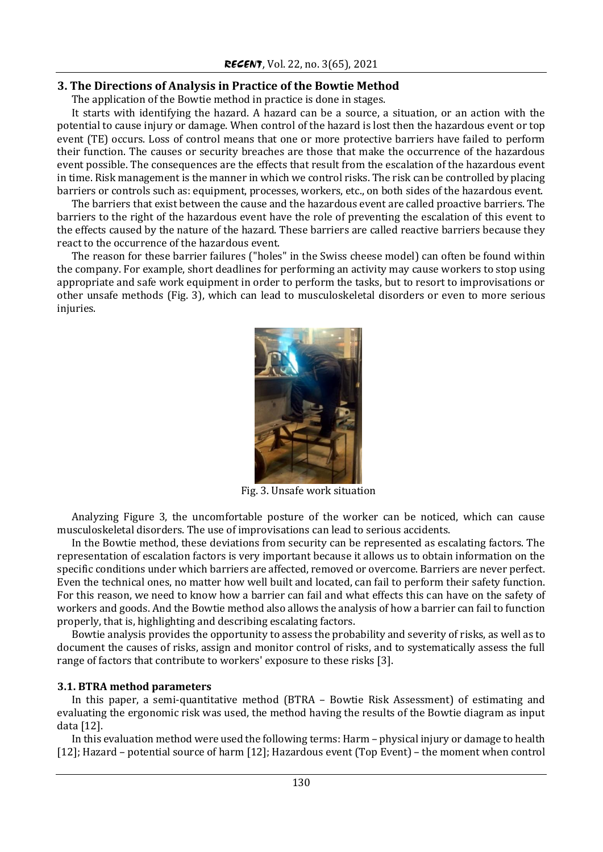## **3. The Directions of Analysis in Practice of the Bowtie Method**

The application of the Bowtie method in practice is done in stages.

It starts with identifying the hazard. A hazard can be a source, a situation, or an action with the potential to cause injury or damage. When control of the hazard is lost then the hazardous event or top event (TE) occurs. Loss of control means that one or more protective barriers have failed to perform their function. The causes or security breaches are those that make the occurrence of the hazardous event possible. The consequences are the effects that result from the escalation of the hazardous event in time. Risk management is the manner in which we control risks. The risk can be controlled by placing barriers or controls such as: equipment, processes, workers, etc., on both sides of the hazardous event.

The barriers that exist between the cause and the hazardous event are called proactive barriers. The barriers to the right of the hazardous event have the role of preventing the escalation of this event to the effects caused by the nature of the hazard. These barriers are called reactive barriers because they react to the occurrence of the hazardous event.

The reason for these barrier failures ("holes" in the Swiss cheese model) can often be found within the company. For example, short deadlines for performing an activity may cause workers to stop using appropriate and safe work equipment in order to perform the tasks, but to resort to improvisations or other unsafe methods (Fig. 3), which can lead to musculoskeletal disorders or even to more serious injuries.



Fig. 3. Unsafe work situation

Analyzing Figure 3, the uncomfortable posture of the worker can be noticed, which can cause musculoskeletal disorders. The use of improvisations can lead to serious accidents.

In the Bowtie method, these deviations from security can be represented as escalating factors. The representation of escalation factors is very important because it allows us to obtain information on the specific conditions under which barriers are affected, removed or overcome. Barriers are never perfect. Even the technical ones, no matter how well built and located, can fail to perform their safety function. For this reason, we need to know how a barrier can fail and what effects this can have on the safety of workers and goods. And the Bowtie method also allows the analysis of how a barrier can fail to function properly, that is, highlighting and describing escalating factors.

Bowtie analysis provides the opportunity to assess the probability and severity of risks, as well as to document the causes of risks, assign and monitor control of risks, and to systematically assess the full range of factors that contribute to workers' exposure to these risks [3].

## **3.1. BTRA method parameters**

In this paper, a semi-quantitative method (BTRA – Bowtie Risk Assessment) of estimating and evaluating the ergonomic risk was used, the method having the results of the Bowtie diagram as input data [12].

In this evaluation method were used the following terms: Harm – physical injury or damage to health [12]; Hazard – potential source of harm [12]; Hazardous event (Top Event) – the moment when control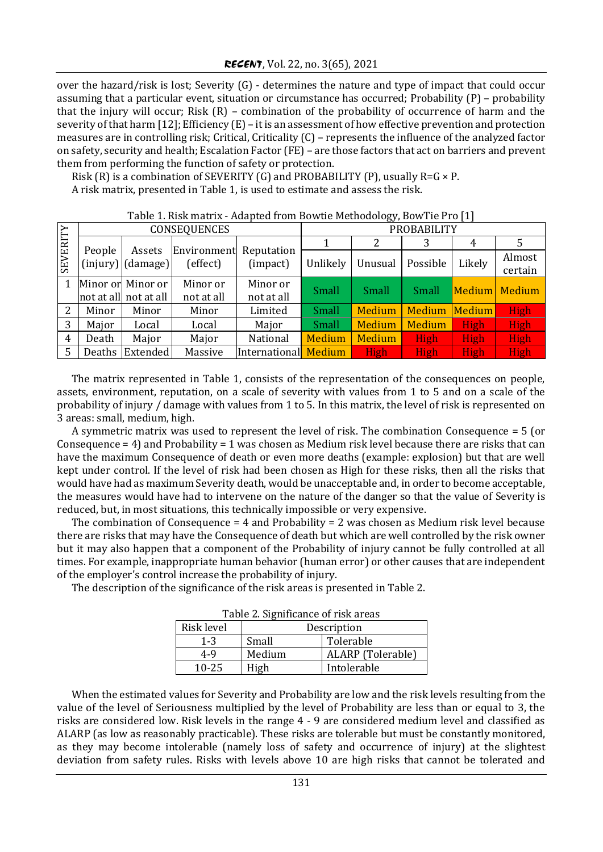over the hazard/risk is lost; Severity (G) - determines the nature and type of impact that could occur assuming that a particular event, situation or circumstance has occurred; Probability (P) – probability that the injury will occur; Risk (R) – combination of the probability of occurrence of harm and the severity of that harm [12]; Efficiency (E) – it is an assessment of how effective prevention and protection measures are in controlling risk; Critical, Criticality (C) – represents the influence of the analyzed factor on safety, security and health; Escalation Factor (FE) – are those factors that act on barriers and prevent them from performing the function of safety or protection.

Risk (R) is a combination of SEVERITY (G) and PROBABILITY (P), usually  $R = G \times P$ . A risk matrix, presented in Table 1, is used to estimate and assess the risk.

|                 |        |                               | CONSEQUENCES            |                        | <b>PROBABILITY</b> |             |             |        |         |  |
|-----------------|--------|-------------------------------|-------------------------|------------------------|--------------------|-------------|-------------|--------|---------|--|
|                 |        |                               |                         |                        |                    | 2           | 3           | 4      | 5       |  |
| <b>SEVERITY</b> | People | Assets<br>$(injury)$ (damage) | Environment<br>(effect) | Reputation<br>(impact) | Unlikely           | Unusual     | Possible    | Likely | Almost  |  |
|                 |        |                               |                         |                        |                    |             |             |        | certain |  |
|                 |        | Minor or Minor or             | Minor or                | Minor or               | Small              | Small       | Small       | Medium | Medium  |  |
|                 |        | not at all not at all         | not at all              | not at all             |                    |             |             |        |         |  |
| 2               | Minor  | Minor                         | Minor                   | Limited                | Small              | Medium      | Medium      | Medium | High    |  |
| 3               | Major  | Local                         | Local                   | Major                  | Small              | Medium      | Medium      | High   | High    |  |
| 4               | Death  | Major                         | Major                   | <b>National</b>        | Medium             | Medium      | <b>High</b> | High   | High    |  |
| 5               | Deaths | Extended                      | Massive                 | International          | Medium             | <b>High</b> | High        | High   | High    |  |

Table 1. Risk matrix - Adapted from Bowtie Methodology, BowTie Pro [1]

The matrix represented in Table 1, consists of the representation of the consequences on people, assets, environment, reputation, on a scale of severity with values from 1 to 5 and on a scale of the probability of injury / damage with values from 1 to 5. In this matrix, the level of risk is represented on 3 areas: small, medium, high.

A symmetric matrix was used to represent the level of risk. The combination Consequence = 5 (or Consequence  $= 4$ ) and Probability  $= 1$  was chosen as Medium risk level because there are risks that can have the maximum Consequence of death or even more deaths (example: explosion) but that are well kept under control. If the level of risk had been chosen as High for these risks, then all the risks that would have had as maximum Severity death, would be unacceptable and, in order to become acceptable, the measures would have had to intervene on the nature of the danger so that the value of Severity is reduced, but, in most situations, this technically impossible or very expensive.

The combination of Consequence = 4 and Probability = 2 was chosen as Medium risk level because there are risks that may have the Consequence of death but which are well controlled by the risk owner but it may also happen that a component of the Probability of injury cannot be fully controlled at all times. For example, inappropriate human behavior (human error) or other causes that are independent of the employer's control increase the probability of injury.

The description of the significance of the risk areas is presented in Table 2.

| Table 2. Significance of risk areas |             |                   |  |  |  |  |
|-------------------------------------|-------------|-------------------|--|--|--|--|
| Risk level                          | Description |                   |  |  |  |  |
| $1 - 3$                             | Small       | Tolerable         |  |  |  |  |
| $4-9$                               | Medium      | ALARP (Tolerable) |  |  |  |  |
| $10 - 25$                           | High        | Intolerable       |  |  |  |  |

 $Table 2$  Significance of right

When the estimated values for Severity and Probability are low and the risk levels resulting from the value of the level of Seriousness multiplied by the level of Probability are less than or equal to 3, the risks are considered low. Risk levels in the range 4 - 9 are considered medium level and classified as ALARP (as low as reasonably practicable). These risks are tolerable but must be constantly monitored, as they may become intolerable (namely loss of safety and occurrence of injury) at the slightest deviation from safety rules. Risks with levels above 10 are high risks that cannot be tolerated and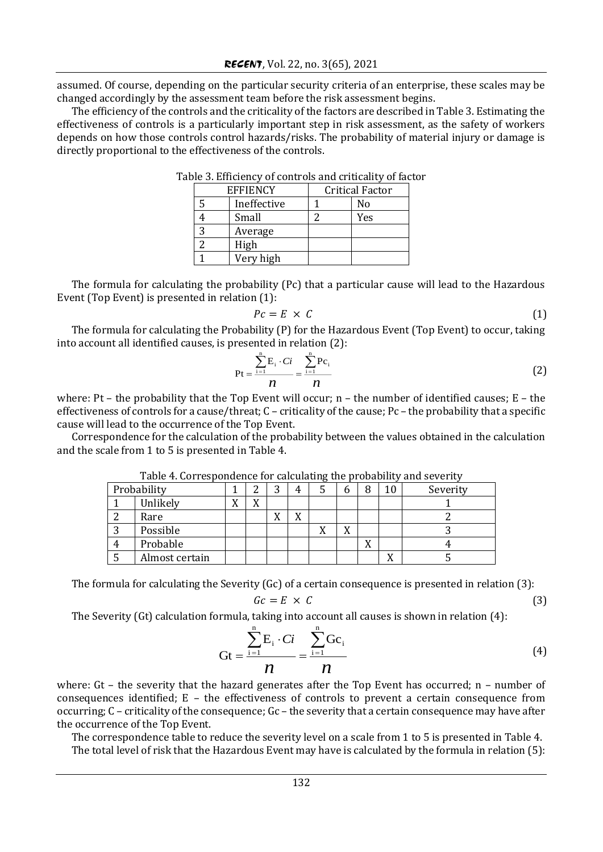assumed. Of course, depending on the particular security criteria of an enterprise, these scales may be changed accordingly by the assessment team before the risk assessment begins.

The efficiency of the controls and the criticality of the factors are described in Table 3. Estimating the effectiveness of controls is a particularly important step in risk assessment, as the safety of workers depends on how those controls control hazards/risks. The probability of material injury or damage is directly proportional to the effectiveness of the controls.

| <b>EFFIENCY</b> | <b>Critical Factor</b> |     |  |  |
|-----------------|------------------------|-----|--|--|
| Ineffective     |                        | No  |  |  |
| Small           |                        | Yes |  |  |
| Average         |                        |     |  |  |
| High            |                        |     |  |  |
| Very high       |                        |     |  |  |

|  |  |  | Table 3. Efficiency of controls and criticality of factor |  |
|--|--|--|-----------------------------------------------------------|--|
|--|--|--|-----------------------------------------------------------|--|

The formula for calculating the probability (Pc) that a particular cause will lead to the Hazardous Event (Top Event) is presented in relation (1):

$$
Pc = E \times C \tag{1}
$$

The formula for calculating the Probability (P) for the Hazardous Event (Top Event) to occur, taking into account all identified causes, is presented in relation (2):

$$
Pt = \frac{\sum_{i=1}^{n} E_i \cdot Ci}{n} = \frac{\sum_{i=1}^{n} Pc_i}{n}
$$
 (2)

where: Pt – the probability that the Top Event will occur;  $n$  – the number of identified causes; E – the effectiveness of controls for a cause/threat; C – criticality of the cause; Pc – the probability that a specific cause will lead to the occurrence of the Top Event.

Correspondence for the calculation of the probability between the values obtained in the calculation and the scale from 1 to 5 is presented in Table 4.

| where it correspondence for calculating the<br>$-$ 0.22 $-$ 0.00 $+$ 0.22 $-$ 0.00 $-$ |                |           |   |            |           |           |        |        |          |
|----------------------------------------------------------------------------------------|----------------|-----------|---|------------|-----------|-----------|--------|--------|----------|
|                                                                                        | Probability    |           | ⌒ | $\sqrt{2}$ |           |           |        | റ      | Severity |
|                                                                                        | Unlikely       | $\Lambda$ | ∡ |            |           |           |        |        |          |
|                                                                                        | Rare           |           |   | $\Lambda$  | $\Lambda$ |           |        |        |          |
|                                                                                        | Possible       |           |   |            |           | $\Lambda$ | v<br>л |        |          |
|                                                                                        | Probable       |           |   |            |           |           |        | v<br>л |          |
|                                                                                        | Almost certain |           |   |            |           |           |        |        |          |

|  | Table 4. Correspondence for calculating the probability and severity |  |  |  |  |  |
|--|----------------------------------------------------------------------|--|--|--|--|--|
|--|----------------------------------------------------------------------|--|--|--|--|--|

The formula for calculating the Severity (Gc) of a certain consequence is presented in relation (3):

$$
Gc = E \times C \tag{3}
$$

The Severity (Gt) calculation formula, taking into account all causes is shown in relation (4):

$$
\mathbf{G}t = \frac{\sum_{i=1}^{n} E_i \cdot Ci}{n} = \frac{\sum_{i=1}^{n} \mathbf{G}c_i}{n}
$$
(4)

where: Gt – the severity that the hazard generates after the Top Event has occurred; n – number of consequences identified; E – the effectiveness of controls to prevent a certain consequence from occurring; C – criticality of the consequence; Gc – the severity that a certain consequence may have after the occurrence of the Top Event.

The correspondence table to reduce the severity level on a scale from 1 to 5 is presented in Table 4.

The total level of risk that the Hazardous Event may have is calculated by the formula in relation (5):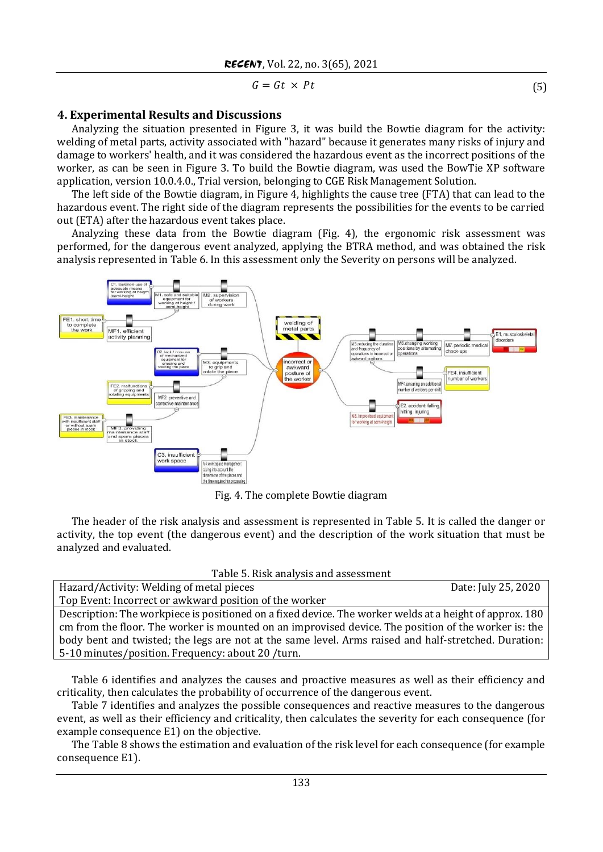$$
G = Gt \times Pt \tag{5}
$$

## **4. Experimental Results and Discussions**

Analyzing the situation presented in Figure 3, it was build the Bowtie diagram for the activity: welding of metal parts, activity associated with "hazard" because it generates many risks of injury and damage to workers' health, and it was considered the hazardous event as the incorrect positions of the worker, as can be seen in Figure 3. To build the Bowtie diagram, was used the BowTie XP software application, version 10.0.4.0., Trial version, belonging to CGE Risk Management Solution.

The left side of the Bowtie diagram, in Figure 4, highlights the cause tree (FTA) that can lead to the hazardous event. The right side of the diagram represents the possibilities for the events to be carried out (ETA) after the hazardous event takes place.

Analyzing these data from the Bowtie diagram (Fig. 4), the ergonomic risk assessment was performed, for the dangerous event analyzed, applying the BTRA method, and was obtained the risk analysis represented in Table 6. In this assessment only the Severity on persons will be analyzed.



Fig. 4. The complete Bowtie diagram

The header of the risk analysis and assessment is represented in Table 5. It is called the danger or activity, the top event (the dangerous event) and the description of the work situation that must be analyzed and evaluated.

## Table 5. Risk analysis and assessment

| Hazard/Activity: Welding of metal pieces                                                                | Date: July 25, 2020 |  |  |  |  |
|---------------------------------------------------------------------------------------------------------|---------------------|--|--|--|--|
| Top Event: Incorrect or awkward position of the worker                                                  |                     |  |  |  |  |
| Description: The workpiece is positioned on a fixed device. The worker welds at a height of approx. 180 |                     |  |  |  |  |
| cm from the floor. The worker is mounted on an improvised device. The position of the worker is: the    |                     |  |  |  |  |
| body bent and twisted; the legs are not at the same level. Arms raised and half-stretched. Duration:    |                     |  |  |  |  |
| 5-10 minutes/position. Frequency: about 20 /turn.                                                       |                     |  |  |  |  |

Table 6 identifies and analyzes the causes and proactive measures as well as their efficiency and criticality, then calculates the probability of occurrence of the dangerous event.

Table 7 identifies and analyzes the possible consequences and reactive measures to the dangerous event, as well as their efficiency and criticality, then calculates the severity for each consequence (for example consequence E1) on the objective.

The Table 8 shows the estimation and evaluation of the risk level for each consequence (for example consequence E1).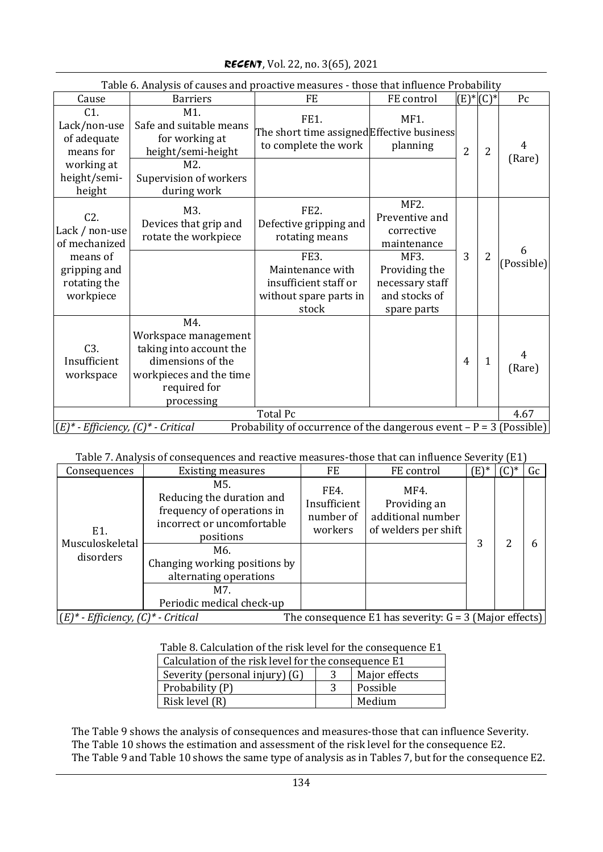| Table 6. Analysis of causes and proactive measures - those that influence Probability                      |                                                                                                                                      |                                                                                                                                          |                                                                                                                                 |                 |                |                 |  |  |
|------------------------------------------------------------------------------------------------------------|--------------------------------------------------------------------------------------------------------------------------------------|------------------------------------------------------------------------------------------------------------------------------------------|---------------------------------------------------------------------------------------------------------------------------------|-----------------|----------------|-----------------|--|--|
| Cause                                                                                                      | <b>Barriers</b>                                                                                                                      | <b>FE</b>                                                                                                                                | FE control                                                                                                                      | $(E)^*$ $(C)^*$ |                | Pc              |  |  |
| C <sub>1</sub><br>Lack/non-use<br>of adequate<br>means for<br>working at<br>height/semi-<br>height         | M1.<br>Safe and suitable means<br>for working at<br>height/semi-height<br>M <sub>2</sub> .<br>Supervision of workers<br>during work  | FE1.<br>The short time assigned Effective business<br>to complete the work                                                               | MF1.<br>planning                                                                                                                | $\overline{2}$  | $\overline{2}$ | 4<br>(Rare)     |  |  |
| C <sub>2</sub><br>Lack / non-use<br>of mechanized<br>means of<br>gripping and<br>rotating the<br>workpiece | M3.<br>Devices that grip and<br>rotate the workpiece                                                                                 | FE2.<br>Defective gripping and<br>rotating means<br>FE3.<br>Maintenance with<br>insufficient staff or<br>without spare parts in<br>stock | MF2.<br>Preventive and<br>corrective<br>maintenance<br>MF3.<br>Providing the<br>necessary staff<br>and stocks of<br>spare parts | 3               | $\overline{2}$ | 6<br>(Possible) |  |  |
| C3.<br>Insufficient<br>workspace                                                                           | M4.<br>Workspace management<br>taking into account the<br>dimensions of the<br>workpieces and the time<br>required for<br>processing |                                                                                                                                          |                                                                                                                                 | $\overline{4}$  | 1              | 4<br>(Rare)     |  |  |
|                                                                                                            |                                                                                                                                      | <b>Total Pc</b>                                                                                                                          |                                                                                                                                 |                 |                | 4.67            |  |  |
| $(E)^*$ - Efficiency, $(C)^*$ - Critical                                                                   |                                                                                                                                      | Probability of occurrence of the dangerous event $-P = 3$ (Possible)                                                                     |                                                                                                                                 |                 |                |                 |  |  |

*RECENT*, Vol. 22, no. 3(65), 2021

## Table 7. Analysis of consequences and reactive measures-those that can influence Severity (E1)

| Consequences                                                                                         | <b>Existing measures</b>                                                                                                                                                                                        | FE                                           | FE control                                                        | $(E)^*$ |  | Gc |
|------------------------------------------------------------------------------------------------------|-----------------------------------------------------------------------------------------------------------------------------------------------------------------------------------------------------------------|----------------------------------------------|-------------------------------------------------------------------|---------|--|----|
| E1.<br>Musculoskeletal<br>disorders                                                                  | M5.<br>Reducing the duration and<br>frequency of operations in<br>incorrect or uncomfortable<br>positions<br>M6.<br>Changing working positions by<br>alternating operations<br>M7.<br>Periodic medical check-up | FE4.<br>Insufficient<br>number of<br>workers | MF4.<br>Providing an<br>additional number<br>of welders per shift | 3       |  | h  |
| $(E)^*$ - Efficiency, $(C)^*$ - Critical<br>The consequence E1 has severity: $G = 3$ (Major effects) |                                                                                                                                                                                                                 |                                              |                                                                   |         |  |    |

Table 8. Calculation of the risk level for the consequence E1

| Calculation of the risk level for the consequence E1 |  |               |  |  |  |
|------------------------------------------------------|--|---------------|--|--|--|
| Severity (personal injury) (G)                       |  | Major effects |  |  |  |
| Probability (P)                                      |  | Possible      |  |  |  |
| Risk level (R)                                       |  | Medium        |  |  |  |

The Table 9 shows the analysis of consequences and measures-those that can influence Severity. The Table 10 shows the estimation and assessment of the risk level for the consequence E2. The Table 9 and Table 10 shows the same type of analysis as in Tables 7, but for the consequence E2.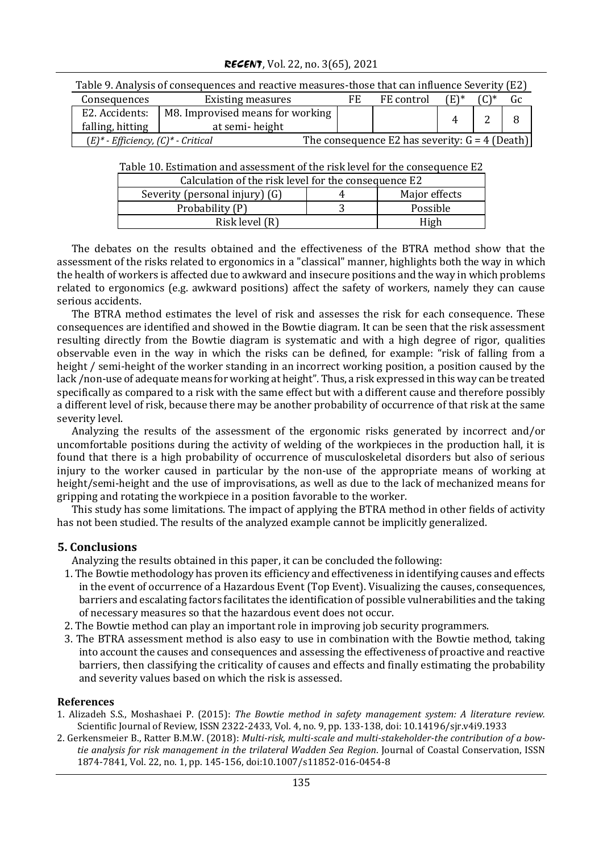|                                          | Table 9. Analysis of consequences and reactive measures-those that can influence Severity (E2) |    |                                                  |         |    |
|------------------------------------------|------------------------------------------------------------------------------------------------|----|--------------------------------------------------|---------|----|
| Consequences                             | <b>Existing measures</b>                                                                       | FE | FE control                                       | $(E)^*$ | Gc |
| E2. Accidents:                           | M8. Improvised means for working                                                               |    |                                                  |         |    |
| falling, hitting                         | at semi-height                                                                                 |    |                                                  |         |    |
| $(E)^*$ - Efficiency, $(C)^*$ - Critical |                                                                                                |    | The consequence E2 has severity: $G = 4$ (Death) |         |    |

*RECENT*, Vol. 22, no. 3(65), 2021

Table 10. Estimation and assessment of the risk level for the consequence E2

| Calculation of the risk level for the consequence E2 |          |               |  |  |  |  |  |
|------------------------------------------------------|----------|---------------|--|--|--|--|--|
| Severity (personal injury) (G)                       |          | Major effects |  |  |  |  |  |
| Probability (P)                                      | Possible |               |  |  |  |  |  |
| Risk level (R)                                       |          | High          |  |  |  |  |  |

The debates on the results obtained and the effectiveness of the BTRA method show that the assessment of the risks related to ergonomics in a "classical" manner, highlights both the way in which the health of workers is affected due to awkward and insecure positions and the way in which problems related to ergonomics (e.g. awkward positions) affect the safety of workers, namely they can cause serious accidents.

The BTRA method estimates the level of risk and assesses the risk for each consequence. These consequences are identified and showed in the Bowtie diagram. It can be seen that the risk assessment resulting directly from the Bowtie diagram is systematic and with a high degree of rigor, qualities observable even in the way in which the risks can be defined, for example: "risk of falling from a height / semi-height of the worker standing in an incorrect working position, a position caused by the lack /non-use of adequate means for working at height". Thus, a risk expressed in this way can be treated specifically as compared to a risk with the same effect but with a different cause and therefore possibly a different level of risk, because there may be another probability of occurrence of that risk at the same severity level.

Analyzing the results of the assessment of the ergonomic risks generated by incorrect and/or uncomfortable positions during the activity of welding of the workpieces in the production hall, it is found that there is a high probability of occurrence of musculoskeletal disorders but also of serious injury to the worker caused in particular by the non-use of the appropriate means of working at height/semi-height and the use of improvisations, as well as due to the lack of mechanized means for gripping and rotating the workpiece in a position favorable to the worker.

This study has some limitations. The impact of applying the BTRA method in other fields of activity has not been studied. The results of the analyzed example cannot be implicitly generalized.

## **5. Conclusions**

Analyzing the results obtained in this paper, it can be concluded the following:

- 1. The Bowtie methodology has proven its efficiency and effectiveness in identifying causes and effects in the event of occurrence of a Hazardous Event (Top Event). Visualizing the causes, consequences, barriers and escalating factors facilitates the identification of possible vulnerabilities and the taking of necessary measures so that the hazardous event does not occur.
- 2. The Bowtie method can play an important role in improving job security programmers.
- 3. The BTRA assessment method is also easy to use in combination with the Bowtie method, taking into account the causes and consequences and assessing the effectiveness of proactive and reactive barriers, then classifying the criticality of causes and effects and finally estimating the probability and severity values based on which the risk is assessed.

## **References**

- 1. Alizadeh S.S., Moshashaei P. (2015): *The Bowtie method in safety management system: A literature review.* Scientific Journal of Review, ISSN 2322-2433, Vol. 4, no. 9, pp. 133-138, doi: 10.14196/sjr.v4i9.1933
- 2. Gerkensmeier B., Ratter B.M.W. (2018): *Multi-risk, multi-scale and multi-stakeholder-the contribution of a bowtie analysis for risk management in the trilateral Wadden Sea Region*. Journal of Coastal Conservation, ISSN 1874-7841, Vol. 22, no. 1, pp. 145-156, doi:10.1007/s11852-016-0454-8